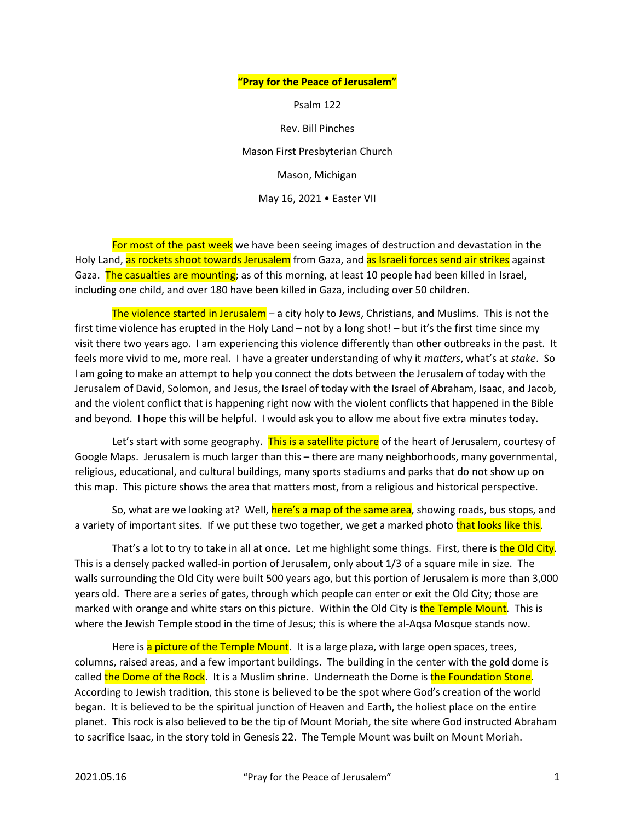## "Pray for the Peace of Jerusalem"

Psalm 122

Rev. Bill Pinches

Mason First Presbyterian Church

Mason, Michigan

May 16, 2021 • Easter VII

For most of the past week we have been seeing images of destruction and devastation in the Holy Land, as rockets shoot towards Jerusalem from Gaza, and as Israeli forces send air strikes against Gaza. The casualties are mounting; as of this morning, at least 10 people had been killed in Israel, including one child, and over 180 have been killed in Gaza, including over 50 children.

The violence started in Jerusalem - a city holy to Jews, Christians, and Muslims. This is not the first time violence has erupted in the Holy Land – not by a long shot! – but it's the first time since my visit there two years ago. I am experiencing this violence differently than other outbreaks in the past. It feels more vivid to me, more real. I have a greater understanding of why it matters, what's at stake. So I am going to make an attempt to help you connect the dots between the Jerusalem of today with the Jerusalem of David, Solomon, and Jesus, the Israel of today with the Israel of Abraham, Isaac, and Jacob, and the violent conflict that is happening right now with the violent conflicts that happened in the Bible and beyond. I hope this will be helpful. I would ask you to allow me about five extra minutes today.

Let's start with some geography. This is a satellite picture of the heart of Jerusalem, courtesy of Google Maps. Jerusalem is much larger than this – there are many neighborhoods, many governmental, religious, educational, and cultural buildings, many sports stadiums and parks that do not show up on this map. This picture shows the area that matters most, from a religious and historical perspective.

So, what are we looking at? Well, here's a map of the same area, showing roads, bus stops, and a variety of important sites. If we put these two together, we get a marked photo that looks like this.

That's a lot to try to take in all at once. Let me highlight some things. First, there is the Old City. This is a densely packed walled-in portion of Jerusalem, only about 1/3 of a square mile in size. The walls surrounding the Old City were built 500 years ago, but this portion of Jerusalem is more than 3,000 years old. There are a series of gates, through which people can enter or exit the Old City; those are marked with orange and white stars on this picture. Within the Old City is the Temple Mount. This is where the Jewish Temple stood in the time of Jesus; this is where the al-Aqsa Mosque stands now.

Here is a picture of the Temple Mount. It is a large plaza, with large open spaces, trees, columns, raised areas, and a few important buildings. The building in the center with the gold dome is called the Dome of the Rock. It is a Muslim shrine. Underneath the Dome is the Foundation Stone. According to Jewish tradition, this stone is believed to be the spot where God's creation of the world began. It is believed to be the spiritual junction of Heaven and Earth, the holiest place on the entire planet. This rock is also believed to be the tip of Mount Moriah, the site where God instructed Abraham to sacrifice Isaac, in the story told in Genesis 22. The Temple Mount was built on Mount Moriah.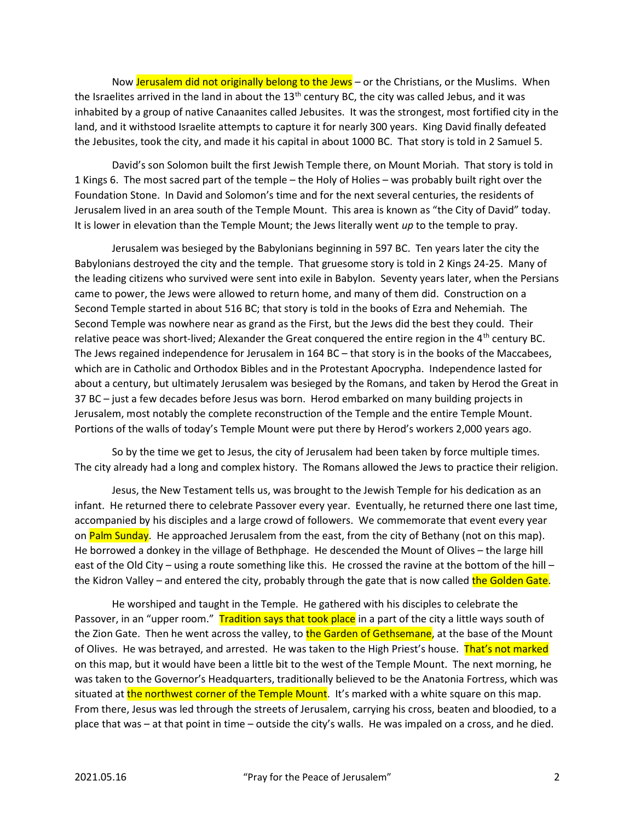Now Jerusalem did not originally belong to the Jews – or the Christians, or the Muslims. When the Israelites arrived in the land in about the  $13<sup>th</sup>$  century BC, the city was called Jebus, and it was inhabited by a group of native Canaanites called Jebusites. It was the strongest, most fortified city in the land, and it withstood Israelite attempts to capture it for nearly 300 years. King David finally defeated the Jebusites, took the city, and made it his capital in about 1000 BC. That story is told in 2 Samuel 5.

David's son Solomon built the first Jewish Temple there, on Mount Moriah. That story is told in 1 Kings 6. The most sacred part of the temple – the Holy of Holies – was probably built right over the Foundation Stone. In David and Solomon's time and for the next several centuries, the residents of Jerusalem lived in an area south of the Temple Mount. This area is known as "the City of David" today. It is lower in elevation than the Temple Mount; the Jews literally went  $up$  to the temple to pray.

Jerusalem was besieged by the Babylonians beginning in 597 BC. Ten years later the city the Babylonians destroyed the city and the temple. That gruesome story is told in 2 Kings 24-25. Many of the leading citizens who survived were sent into exile in Babylon. Seventy years later, when the Persians came to power, the Jews were allowed to return home, and many of them did. Construction on a Second Temple started in about 516 BC; that story is told in the books of Ezra and Nehemiah. The Second Temple was nowhere near as grand as the First, but the Jews did the best they could. Their relative peace was short-lived; Alexander the Great conquered the entire region in the 4<sup>th</sup> century BC. The Jews regained independence for Jerusalem in 164 BC – that story is in the books of the Maccabees, which are in Catholic and Orthodox Bibles and in the Protestant Apocrypha. Independence lasted for about a century, but ultimately Jerusalem was besieged by the Romans, and taken by Herod the Great in 37 BC – just a few decades before Jesus was born. Herod embarked on many building projects in Jerusalem, most notably the complete reconstruction of the Temple and the entire Temple Mount. Portions of the walls of today's Temple Mount were put there by Herod's workers 2,000 years ago.

So by the time we get to Jesus, the city of Jerusalem had been taken by force multiple times. The city already had a long and complex history. The Romans allowed the Jews to practice their religion.

Jesus, the New Testament tells us, was brought to the Jewish Temple for his dedication as an infant. He returned there to celebrate Passover every year. Eventually, he returned there one last time, accompanied by his disciples and a large crowd of followers. We commemorate that event every year on Palm Sunday. He approached Jerusalem from the east, from the city of Bethany (not on this map). He borrowed a donkey in the village of Bethphage. He descended the Mount of Olives – the large hill east of the Old City – using a route something like this. He crossed the ravine at the bottom of the hill – the Kidron Valley – and entered the city, probably through the gate that is now called the Golden Gate.

 He worshiped and taught in the Temple. He gathered with his disciples to celebrate the Passover, in an "upper room." Tradition says that took place in a part of the city a little ways south of the Zion Gate. Then he went across the valley, to the Garden of Gethsemane, at the base of the Mount of Olives. He was betrayed, and arrested. He was taken to the High Priest's house. That's not marked on this map, but it would have been a little bit to the west of the Temple Mount. The next morning, he was taken to the Governor's Headquarters, traditionally believed to be the Anatonia Fortress, which was situated at the northwest corner of the Temple Mount. It's marked with a white square on this map. From there, Jesus was led through the streets of Jerusalem, carrying his cross, beaten and bloodied, to a place that was – at that point in time – outside the city's walls. He was impaled on a cross, and he died.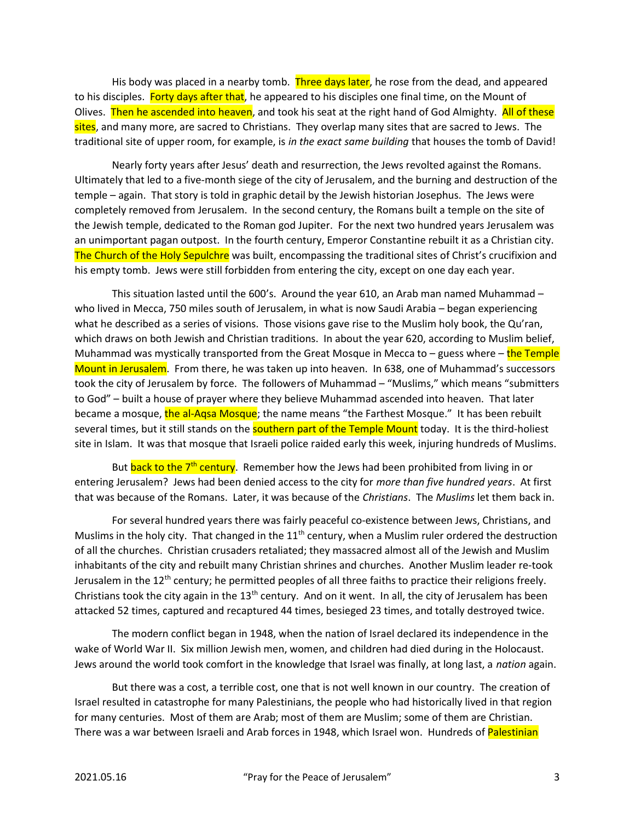His body was placed in a nearby tomb. Three days later, he rose from the dead, and appeared to his disciples. Forty days after that, he appeared to his disciples one final time, on the Mount of Olives. Then he ascended into heaven, and took his seat at the right hand of God Almighty. All of these sites, and many more, are sacred to Christians. They overlap many sites that are sacred to Jews. The traditional site of upper room, for example, is in the exact same building that houses the tomb of David!

Nearly forty years after Jesus' death and resurrection, the Jews revolted against the Romans. Ultimately that led to a five-month siege of the city of Jerusalem, and the burning and destruction of the temple – again. That story is told in graphic detail by the Jewish historian Josephus. The Jews were completely removed from Jerusalem. In the second century, the Romans built a temple on the site of the Jewish temple, dedicated to the Roman god Jupiter. For the next two hundred years Jerusalem was an unimportant pagan outpost. In the fourth century, Emperor Constantine rebuilt it as a Christian city. The Church of the Holy Sepulchre was built, encompassing the traditional sites of Christ's crucifixion and his empty tomb. Jews were still forbidden from entering the city, except on one day each year.

This situation lasted until the 600's. Around the year 610, an Arab man named Muhammad – who lived in Mecca, 750 miles south of Jerusalem, in what is now Saudi Arabia – began experiencing what he described as a series of visions. Those visions gave rise to the Muslim holy book, the Qu'ran, which draws on both Jewish and Christian traditions. In about the year 620, according to Muslim belief, Muhammad was mystically transported from the Great Mosque in Mecca to  $-$  guess where  $-$  the Temple Mount in Jerusalem. From there, he was taken up into heaven. In 638, one of Muhammad's successors took the city of Jerusalem by force. The followers of Muhammad – "Muslims," which means "submitters to God" – built a house of prayer where they believe Muhammad ascended into heaven. That later became a mosque, the al-Aqsa Mosque; the name means "the Farthest Mosque." It has been rebuilt several times, but it still stands on the **southern part of the Temple Mount** today. It is the third-holiest site in Islam. It was that mosque that Israeli police raided early this week, injuring hundreds of Muslims.

But back to the 7<sup>th</sup> century. Remember how the Jews had been prohibited from living in or entering Jerusalem? Jews had been denied access to the city for more than five hundred years. At first that was because of the Romans. Later, it was because of the Christians. The Muslims let them back in.

For several hundred years there was fairly peaceful co-existence between Jews, Christians, and Muslims in the holy city. That changed in the  $11<sup>th</sup>$  century, when a Muslim ruler ordered the destruction of all the churches. Christian crusaders retaliated; they massacred almost all of the Jewish and Muslim inhabitants of the city and rebuilt many Christian shrines and churches. Another Muslim leader re-took Jerusalem in the 12<sup>th</sup> century; he permitted peoples of all three faiths to practice their religions freely. Christians took the city again in the  $13<sup>th</sup>$  century. And on it went. In all, the city of Jerusalem has been attacked 52 times, captured and recaptured 44 times, besieged 23 times, and totally destroyed twice.

The modern conflict began in 1948, when the nation of Israel declared its independence in the wake of World War II. Six million Jewish men, women, and children had died during in the Holocaust. Jews around the world took comfort in the knowledge that Israel was finally, at long last, a nation again.

But there was a cost, a terrible cost, one that is not well known in our country. The creation of Israel resulted in catastrophe for many Palestinians, the people who had historically lived in that region for many centuries. Most of them are Arab; most of them are Muslim; some of them are Christian. There was a war between Israeli and Arab forces in 1948, which Israel won. Hundreds of Palestinian